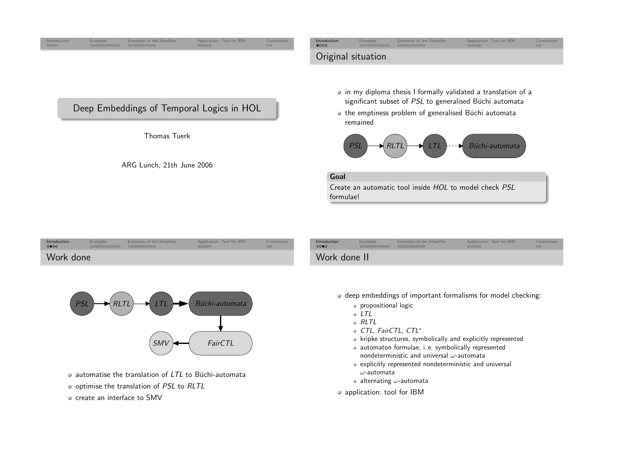<span id="page-0-0"></span>



- automatise the translation of  $\emph{LTL}$  to Büchi-automata
- optimise the translation of PSL to RLTL
- $\circ$  create an interface to SMV
- deep embeddings of important formalisms for model checking:
	- propositional logic
	- $\circ$  LTL
	- RLTL
	- CTL, FairCTL, CTL<sup>∗</sup>
	- $\bullet$  kripke structures, symbolically and explicitly represented
	- automaton formulae, i. e. symbolically representednondeterministic and universal  $\omega$ -automata
	- explicitly represented nondeterministic and universal  $\omega$ -automata
	- alternating  $\omega$ -automata
- o application: tool for IBM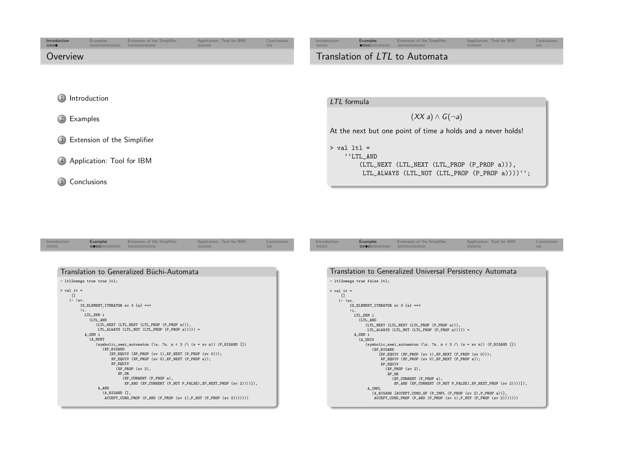<span id="page-1-0"></span>

| Introduction<br>000 | Examples<br>00000000000 | Extension of the Simplifier<br>0000000000 | Application: Tool for IBM<br>00000 | Conclusions<br>$\circ$ | Introduction<br>0000           | Examples<br>$\bullet$ 0000000000 | Extension of the Simplifier<br>0000000000 | Application: Tool for IBM<br>00000 | Conclusions<br>00 |  |
|---------------------|-------------------------|-------------------------------------------|------------------------------------|------------------------|--------------------------------|----------------------------------|-------------------------------------------|------------------------------------|-------------------|--|
| Overview            |                         |                                           |                                    |                        | Translation of LTL to Automata |                                  |                                           |                                    |                   |  |
|                     |                         |                                           |                                    |                        |                                |                                  |                                           |                                    |                   |  |
|                     |                         |                                           |                                    |                        |                                |                                  |                                           |                                    |                   |  |
| 1 Introduction      |                         |                                           |                                    |                        | LTL formula                    |                                  |                                           |                                    |                   |  |
| 2 Examples          |                         |                                           |                                    |                        |                                |                                  | $(XX a) \wedge G(\neg a)$                 |                                    |                   |  |

3 Extension of the [Simplifier](#page-4-0)

4 [Application:](#page-6-0) Tool for IBM

5 [Conclusions](#page-7-0)

| At the next but one point of time a holds and a never holds! |
|--------------------------------------------------------------|
| > val ltl =                                                  |
| ''LTL AND                                                    |
| $(LTL$ NEXT $(LTL$ NEXT $(LTL$ PROP $(P$ PROP $a$ )),        |
| LTL_ALWAYS (LTL_NOT (LTL_PROP $(P$ _PROP $a$ ))))'';         |
|                                                              |

| Introduction | Examples   | Extension of the Simplifier | Application: Tool for IBM | Conclusions | Introduction |
|--------------|------------|-----------------------------|---------------------------|-------------|--------------|
| 0000         | 0000000000 | 0000000000                  | 00000                     | OС          | 0000         |
|              |            |                             |                           |             |              |

| Translation to Generalized Büchi-Automata                                                     |
|-----------------------------------------------------------------------------------------------|
| - ltl2omega true true ltl;                                                                    |
| $>$ val it =                                                                                  |
| $\mathsf{L}$                                                                                  |
| $ - sv $ .                                                                                    |
| IS_ELEMENT_ITERATOR sv 3 {a} ==>                                                              |
| 11.                                                                                           |
| LTL_SEM i                                                                                     |
| (LTL_AND                                                                                      |
| (LTL_NEXT (LTL_NEXT (LTL_PROP (P_PROP a))),<br>LTL_ALWAYS (LTL_NOT (LTL_PROP (P_PROP a))))) = |
| A_SEM i                                                                                       |
| (A NDET                                                                                       |
| (symbolic_semi_automaton (\s. ?n. n < 3 /\ (s = sv n)) (P_BIGAND [])                          |
| (XP_BIGAND                                                                                    |
| $[XP_EQUIV (XP_PROP (sv 1), XP_NEXT (P_PROP (sv 0)))$ ;                                       |
| XP_EQUIV (XP_PROP (sv 0), XP_NEXT (P_PROP a));                                                |
| XP_EQUIV                                                                                      |
| $(XP$ PROP $(sv 2)$ ,                                                                         |
| XP OR                                                                                         |
| $(XP_CURRENT (P_PROP a)$ ,                                                                    |
| $XP_{AN}$ (XP_CURRENT (P_NOT P_FALSE), XP_NEXT_PROP (sv 2))))]),                              |
| A AND                                                                                         |
| $(A_BIGAND$ $[]$ ,                                                                            |
| $\texttt{ACCEPT\_COND\_PROP}$ (P_AND (P_PROP (sv 1), P_NOT (P_PROP (sv 2)))))))               |

| Translation to Generalized Universal Persistency Automata |  |  |
|-----------------------------------------------------------|--|--|

```
- ltl2omega true false ltl;
> val it =
   \Box
|- !sv.
        IS_ELEMENT_ITERATOR sv 3 {a} ==>
        \overline{\mathbf{ii}}.

LTL_SEM i
            (LTL_AND
(LTL_NEXT (LTL_NEXT (LTL_PROP (P_PROP a))),
                 LTL_ALWAYS (LTL_NOT (LTL_PROP (P_PROP a))))) =
          A_SEM i
            (A_UNIV
(symbolic_semi_automaton (\s. ?n. n < 3 /\ (s = sv n)) (P_BIGAND [])
                   (XP_BIGAND
[XP_EQUIV (XP_PROP (sv 1),XP_NEXT (P_PROP (sv 0)));
                       XP_EQUIV (XP_PROP (sv 0),XP_NEXT (P_PROP a));
                       XP_EQUIV
(XP_PROP (sv 2),
                          XP_OR
(XP_CURRENT (P_PROP a),
XP_AND (XP_CURRENT (P_NOT P_FALSE),XP_NEXT_PROP (sv 2))))]),
                 A_IMPL
(A_BIGAND [ACCEPT_COND_GF (P_IMPL (P_PROP (sv 2),P_PROP a))],
                    ACCEPT_COND_PROP (P_AND (P_PROP (sv 1),P_NOT (P_PROP (sv 2)))))))
```
[Examples](#page-1-0) Extension of the [Simplifier](#page-4-0) [Application:](#page-6-0) Tool for IBM

[Conclusions](#page-7-0)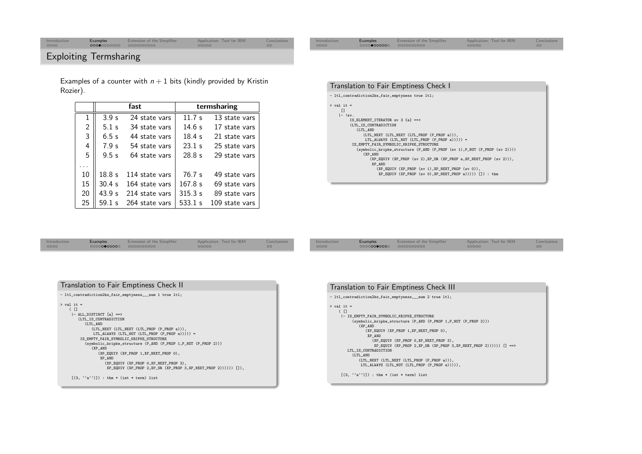## Exploiting Termsharing

Examples of a counter with  $n+1$  bits (kindly provided by Kristin Rozier).

|                |                  | fast           | termsharing |                |  |  |
|----------------|------------------|----------------|-------------|----------------|--|--|
| $\mathbf{1}$   | 3.9 <sub>s</sub> | 24 state vars  | 11.7s       | 13 state vars  |  |  |
| $\overline{2}$ | 5.1 s            | 34 state vars  | 14.6s       | 17 state vars  |  |  |
| 3              | 6.5s             | 44 state vars  | 18.4s       | 21 state vars  |  |  |
| 4              | 7.9 <sub>s</sub> | 54 state vars  | 23.1 s      | 25 state vars  |  |  |
| 5              | 9.5s             | 64 state vars  | 28.8s       | 29 state vars  |  |  |
| .              |                  |                |             |                |  |  |
| 10             | 18.8s            | 114 state vars | 76.7s       | 49 state vars  |  |  |
| 15             | 30.4s            | 164 state vars | 167.8 s     | 69 state vars  |  |  |
| 20             | 43.9 s           | 214 state vars | 315.3 s     | 89 state vars  |  |  |
| 25             | 59.1 s           | 264 state vars | 533.1 s     | 109 state vars |  |  |

| Translation to Fair Emptiness Check I                                     |
|---------------------------------------------------------------------------|
| - ltl_contradiction2ks_fair_emptyness true ltl;                           |
| $>$ val it =                                                              |
| $\mathsf{I}$<br>$ - sv $                                                  |
| IS_ELEMENT_ITERATOR sv $3 \{a\}$ ==>                                      |
| (LTL_IS_CONTRADICTION                                                     |
| (LTL AND                                                                  |
| (LTL_NEXT (LTL_NEXT (LTL_PROP (P_PROP a))),                               |
| LTL_ALWAYS (LTL_NOT (LTL_PROP (P_PROP a))))) =                            |
| IS_EMPTY_FAIR_SYMBOLIC_KRIPKE_STRUCTURE                                   |
| (symbolic_kripke_structure (P_AND (P_PROP (sv 1), P_NOT (P_PROP (sv 2)))) |
| $(XP_{AND})$                                                              |
| $(XP_EQUIV (XP_PROP (sv 2), XP_OR (XP_PROP a, XP_NEXT_PROP (sv 2)))$ ,    |
| XP AND                                                                    |
| $(XP_EQUIV (XP_PROP (sv 1), XP_NEXT_PROP (sv 0)),$                        |
| XP_EQUIV (XP_PROP (sv 0), XP_NEXT_PROP a))))) []) : thm                   |
|                                                                           |

| Introduction <b>Examples</b> Extension of the Simplifier <b>Application: Tool for IBM</b> Conclusions |
|-------------------------------------------------------------------------------------------------------|
|-------------------------------------------------------------------------------------------------------|

| Translation to Fair Emptiness Check II                         |
|----------------------------------------------------------------|
| - ltl_contradiction2ks_fair_emptyness___num 1 true ltl;        |
| $>$ val it =                                                   |
| $($ $\Box$                                                     |
| - ALL DISTINCT [a] ==>                                         |
| (LTL_IS_CONTRADICTION                                          |
| (LTL AND                                                       |
| (LTL_NEXT (LTL_NEXT (LTL_PROP (P_PROP a))),                    |
| LTL_ALWAYS (LTL_NOT (LTL_PROP $(P_PROP a))$ )) =               |
| IS_EMPTY_FAIR_SYMBOLIC_KRIPKE_STRUCTURE                        |
| (symbolic_kripke_structure (P_AND (P_PROP 1,P_NOT (P_PROP 2))) |
| (XP AND                                                        |
| (XP_EQUIV (XP_PROP 1,XP_NEXT_PROP 0),                          |
| XP AND                                                         |
| (XP_EQUIV (XP_PROP 0,XP_NEXT_PROP 3),                          |
| XP EQUIV (XP PROP 2.XP OR (XP PROP 3.XP NEXT PROP 2)))))) [1]. |
| $[(3, 'a'')]$ ; thm * (int * term) list                        |

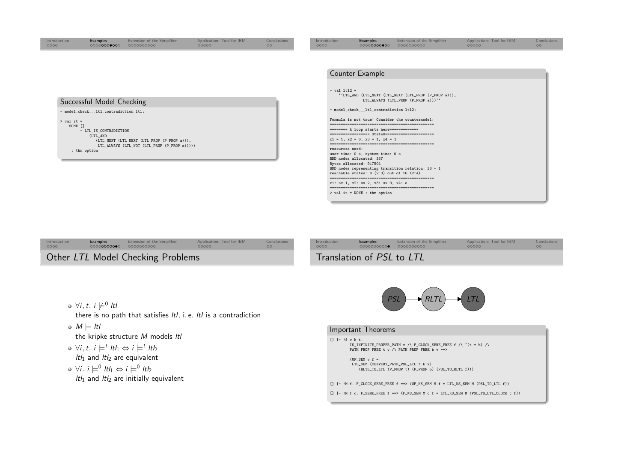| Introduction<br>0000                    | Examples<br>00000000000                                                                                    | Extension of the Simplifier<br>0000000000                                                   | Application: Tool for IBM<br>00000 | Conclusions<br>00 | Introduction<br>0000                | <b>Examples</b><br>00000000000                                                                                                                                                                                                                                                                                                        | Extension of the Simplifier<br>0000000000                                                                                                                                                                                                                  | Application: Tool for IBM<br>00000 | Conclusions<br>00 |
|-----------------------------------------|------------------------------------------------------------------------------------------------------------|---------------------------------------------------------------------------------------------|------------------------------------|-------------------|-------------------------------------|---------------------------------------------------------------------------------------------------------------------------------------------------------------------------------------------------------------------------------------------------------------------------------------------------------------------------------------|------------------------------------------------------------------------------------------------------------------------------------------------------------------------------------------------------------------------------------------------------------|------------------------------------|-------------------|
| $>$ val it =<br>SOME []<br>: thm option | Successful Model Checking<br>- model_check___ltl_contradiction ltl;<br> - LTL_IS_CONTRADICTION<br>(LTL_AND | (LTL_NEXT (LTL_NEXT (LTL_PROP (P_PROP a))),<br>LTL ALWAYS (LTL NOT (LTL PROP (P PROP a))))) |                                    |                   | $-$ val $lt12 =$<br>resources used: | Counter Example<br>- model_check___ltl_contradiction ltl2;<br>======== A loop starts here=============<br>$x1 = 1$ , $x2 = 0$ , $x3 = 1$ , $x4 = 1$<br>user time: 0 s, system time: 0 s<br>BDD nodes allocated: 357<br>Bytes allocated: 917504<br>reachable states: $8(2^3)$ out of 16 $(2^4)$<br>x1: sv 1, x2: sv 2, x3: sv 0, x4: a | ''LTL_AND (LTL_NEXT (LTL_NEXT (LTL_PROP (P_PROP a))),<br>LTL ALWAYS (LTL PROP (P PROP a)))''<br>Formula is not true! Consider the countermodel:<br>================== State0======================<br>BDD nodes representing transition relation: $33 + 1$ |                                    |                   |
|                                         |                                                                                                            |                                                                                             |                                    |                   |                                     |                                                                                                                                                                                                                                                                                                                                       |                                                                                                                                                                                                                                                            |                                    |                   |

| Introduction                      | <b>Examples</b> | Extension of the Simplifier | Application: Tool for IBM | Conclusions        | Introduction | Examples    |
|-----------------------------------|-----------------|-----------------------------|---------------------------|--------------------|--------------|-------------|
| 0000                              | 000000000000    | 0000000000                  | 00000                     | $\circ$            | 0000         | 0000000000● |
| Other LTL Model Checking Problems |                 |                             |                           | Translation of PSL |              |             |



[Examples](#page-1-0) Extension of the [Simplifier](#page-4-0) [Application:](#page-6-0) Tool for IBM

[Conclusions](#page-7-0)<br>00

 $\forall i,t.$  i  $\neq^0$  ltl

```
there is no path that satisfies ltl, i. e. ltl is a contradiction
```
 $M \models \textit{ltl}$ <br>the line

the kripke structure <sup>M</sup> models ltl

 $∀i, t. i \models^t lt_1 \Leftrightarrow i \models^t lt_2$ 

```
ltl<sub>1</sub> and ltl<sub>2</sub> are equivalent
```
 $\forall i. i \models^0 \text{ltl}_1 \Leftrightarrow i \models^0 \text{ltl}_2$ <br>Ith and Ith are initially *ltl*<sub>1</sub> and *ltl*<sub>2</sub> are initially equivalent



## Important Theorems

> val it <sup>=</sup> NONE : thm option

```
[] |- !f v b t.<br>
IS_INFINITE_PROPER_PATH v /\ F_CLOCK_SERE_FREE f /\ ~(t = b) /\
         PATH_PROP_FREE t v /\ PATH_PROP_FREE b v ==>
           (UF_SEM v f =
LTL_SEM (CONVERT_PATH_PSL_LTL t b v)
             (RLTL_TO_LTL (P_PROP t) (P_PROP b) (PSL_TO_RLTL f)))
[] |- !M f. F_CLOCK_SERE_FREE f ==> (UF_KS_SEM M f = LTL_KS_SEM M (PSL_TO_LTL f))
[] |- ! \hbar f c. F_SERE_FREE f ==> (F_KS_SEM \hbar c f = LTL_KS_SEM \hbar (PSL_TO_LTL_CLOCK c f))
```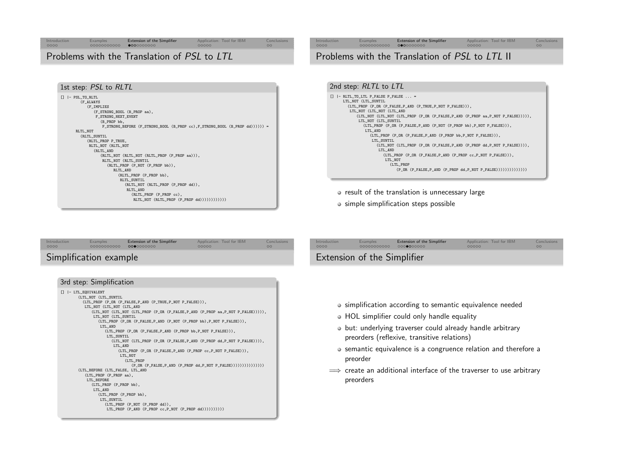<span id="page-4-0"></span>

|  | Introduction          |  |  |  |  |
|--|-----------------------|--|--|--|--|
|  |                       |  |  |  |  |
|  | $\cap \cap \cap \cap$ |  |  |  |  |

[Conclusions](#page-7-0)

Problems with the Translation of PSL to LTL

| 1st step: PSL to RLTL                                                                                                                                                                                                                       |
|---------------------------------------------------------------------------------------------------------------------------------------------------------------------------------------------------------------------------------------------|
| - PSL_TO_RLTL<br>$\Box$<br>(F_ALWAYS<br>(F_IMPLIES<br>(F_STRONG_BOOL (B_PROP aa),<br>F_STRONG_NEXT_EVENT<br>(B_PROP bb,<br>$F\_STRONG\_BEFORE (F\_STRONG\_B0OL (B\_PROP cc), F\_STRONG\_B0OL (B\_PROP dd))))$ =<br>RLTL_NOT<br>(RLTL_SUNTIL |
| (RLTL_PROP P_TRUE,                                                                                                                                                                                                                          |
| RLTL_NOT (RLTL_NOT                                                                                                                                                                                                                          |
| (RLTL_AND                                                                                                                                                                                                                                   |
| (RLTL_NOT (RLTL_NOT (RLTL_PROP (P_PROP aa))),                                                                                                                                                                                               |
| RLTL_NOT (RLTL_SUNTIL                                                                                                                                                                                                                       |
| (RLTL_PROP (P_NOT (P_PROP bb)),                                                                                                                                                                                                             |
| RLTL_AND                                                                                                                                                                                                                                    |
| (RLTL_PROP (P_PROP bb),                                                                                                                                                                                                                     |
| RLTL_SUNTIL                                                                                                                                                                                                                                 |
| (RLTL_NOT (RLTL_PROP (P_PROP dd)),<br>RLTL_AND                                                                                                                                                                                              |
| (RLTL_PROP (P_PROP cc),                                                                                                                                                                                                                     |
| $RLTL_MOT$ (RLTL_PROP (P_PROP dd)))))))))))))                                                                                                                                                                                               |



[Conclusions](#page-7-0)<br>00

Conclusion<br>00

• result of the translation is unnecessary large

• simple simplification steps possible

[Introduction](#page-0-0)

 $0000$ 

| Introduction | Examples               | <b>Extension of the Simplifier</b> | Application: Tool for IBM | Conclusions |
|--------------|------------------------|------------------------------------|---------------------------|-------------|
| 0000         | 00000000000            | 0000000000                         | 00000                     | $\Omega$    |
|              | Simplification example |                                    |                           |             |

## 3rd step: Simplification

```
[] |- LTL_EQUIVALENT
       (LTL_NOT (LTL_SUNTIL
         (LTL_PROP (P_OR (P_FALSE,P_AND (P_TRUE,P_NOT P_FALSE))),
          LTL_NOT (LTL_NOT (LTL_AND
              (LTL_NOT (LTL_NOT (LTL_PROP (P_OR (P_FALSE,P_AND (P_PROP aa,P_NOT P_FALSE))))),
              LTL_NOT (LTL_SUNTIL
                 (LTL_PROP (P_OR (P_FALSE,P_AND (P_NOT (P_PROP bb),P_NOT P_FALSE))),
                 LTL_AND

(LTL_PROP (P_OR (P_FALSE,P_AND (P_PROP bb,P_NOT P_FALSE))),
                     LTL_SUNTIL
(LTL_NOT (LTL_PROP (P_OR (P_FALSE,P_AND (P_PROP dd,P_NOT P_FALSE)))),
                       LTL_AND

(LTL_PROP (P_OR (P_FALSE,P_AND (P_PROP cc,P_NOT P_FALSE))),
                          LTL_NOT
(LTL_PROP
(P_OR (P_FALSE,P_AND (P_PROP dd,P_NOT P_FALSE)))))))))))))))
       (LTL_BEFORE (LTL_FALSE, LTL_AND
          (LTL_PROP (P_PROP aa),
           LTL_BEFORE
(LTL_PROP (P_PROP bb),
              LTL_AND
(LTL_PROP (P_PROP bb),
                 LTL_SUNTIL
(LTL_PROP (P_NOT (P_PROP dd)),
                    LTL_PROP (P_AND (P_PROP cc, P_NOT (P_PROP dd)))))))))
```

| Extension of the Simplifier |  |
|-----------------------------|--|
|                             |  |

[Examples](#page-1-0) Extension of the [Simplifier](#page-4-0) [Application:](#page-6-0) Tool for IBM<br>00000000000 0000000000 00000000 00000

- simplification according to semantic equivalence needed
- HOL simplifier could only handle equality
- but: underlying traverser could already handle arbitrarypreorders (reflexive, transitive relations)
- semantic equivalence is a congruence relation and therefore a preorder
- ⇒ create an additional interface of the traverser to use arbitrary<br>preorders preorders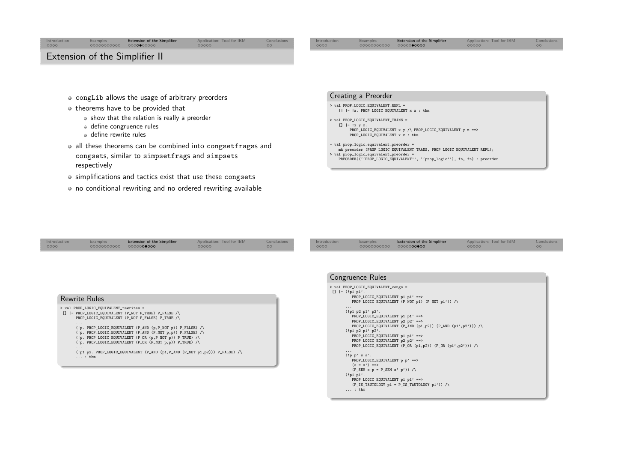<span id="page-5-0"></span>

- congLib allows the usage of arbitrary preorders
- $\bullet$  theorems have to be provided that
	- show that the relation is really <sup>a</sup> preorder
	- define congruence rules
	- define rewrite rules
- all these theorems can be combined into congsetfrags<sup>s</sup> andcongsets, similar to simpsetfrag<sup>s</sup> and simpset<sup>s</sup> respectively
- simplifications and tactics exist that use these congset<sup>s</sup>
- no conditional rewriting and no ordered rewriting available

## Creating <sup>a</sup> Preorder

- > val PROP\_LOGIC\_EQUIVALENT\_REFL <sup>=</sup> []  $|- |x|$ . PROP\_LOGIC\_EQUIVALENT x x : thm
- > val PROP\_LOGIC\_EQUIVALENT\_TRANS <sup>=</sup> [] |- !x <sup>y</sup> z.
- PROP\_LOGIC\_EQUIVALENT <sup>x</sup> <sup>y</sup> /\ PROP\_LOGIC\_EQUIVALENT <sup>y</sup> <sup>z</sup> ==> PROP\_LOGIC\_EQUIVALENT x z : thm
- val prop\_logic\_equivalent\_preorder <sup>=</sup>

... : thm

- mk\_preorder (PROP\_LOGIC\_EQUIVALENT\_TRANS, PROP\_LOGIC\_EQUIVALENT\_REFL); > val prop\_logic\_equivalent\_preorder <sup>=</sup>
- PREORDER((''PROP\_LOGIC\_EQUIVALENT'', ''prop\_logic''), fn, fn) : preorder

| Introduction<br>0000                         | <b>Examples</b><br>00000000000                           | <b>Extension of the Simplifier</b><br>0000000000                                                                                                                                                                                                                                                                                                                                                                                                     | Application: Tool for IBM<br>00000 | Conclusions<br>00 <sub>o</sub> | Introduction<br>0000                     | Examples<br>00000000000                                                                                                                                                                                                                                                                                                                                            | Extension of the Simplifier<br>0000000000                                                                                                                                    | Application: Tool for IBM<br>00000 | Conclusions<br>00 <sub>o</sub> |
|----------------------------------------------|----------------------------------------------------------|------------------------------------------------------------------------------------------------------------------------------------------------------------------------------------------------------------------------------------------------------------------------------------------------------------------------------------------------------------------------------------------------------------------------------------------------------|------------------------------------|--------------------------------|------------------------------------------|--------------------------------------------------------------------------------------------------------------------------------------------------------------------------------------------------------------------------------------------------------------------------------------------------------------------------------------------------------------------|------------------------------------------------------------------------------------------------------------------------------------------------------------------------------|------------------------------------|--------------------------------|
| <b>Rewrite Rules</b><br>$\cdots$<br>$\cdots$ | > val PROP_LOGIC_EQUIVALENT_rewrites =<br>$\ldots$ : thm | []  - PROP_LOGIC_EQUIVALENT (P_NOT P_TRUE) P_FALSE /\<br>PROP_LOGIC_EQUIVALENT (P_NOT P_FALSE) P_TRUE /\<br>(!p. PROP_LOGIC_EQUIVALENT (P_AND (p, P_NOT p)) P_FALSE) /\<br>(!p. PROP_LOGIC_EQUIVALENT (P_AND (P_NOT p,p)) P_FALSE) /\<br>$(!p. PROP\_LOGIC\_EQUALENT (P_OR (p, P_MOT p)) P_TRUE) / \$<br>$('p. PROP\_LOGIC\_EQUALENT (P_OR (P_NOT p, p)) P_TRUE) / \$<br>(!p1 p2. PROP_LOGIC_EQUIVALENT (P_AND (p1,P_AND (P_NOT p1,p2))) P_FALSE) /\ |                                    |                                | $[]  -(!p1 p1'.$<br>$\cdots$<br>$\cdots$ | <b>Congruence Rules</b><br>> val PROP_LOGIC_EQUIVALENT_congs =<br>PROP_LOGIC_EQUIVALENT p1 p1' ==><br>(!p1 p2 p1' p2'.<br>PROP_LOGIC_EQUIVALENT p1 p1' ==><br>PROP_LOGIC_EQUIVALENT p2 p2' ==><br>(!p1 p2 p1' p2'.<br>PROP_LOGIC_EQUIVALENT p1 p1' ==><br>PROP_LOGIC_EQUIVALENT p2 p2' ==><br>(!p p' s s'.<br>$PROP\_LOGIC\_EQUALENT$ p $p' ==$ ><br>$(s = s') ==$ | PROP_LOGIC_EQUIVALENT (P_NOT p1) (P_NOT p1')) /\<br>PROP_LOGIC_EQUIVALENT (P_AND (p1,p2)) (P_AND (p1',p2'))) /\<br>PROP_LOGIC_EQUIVALENT (P_OR (p1,p2)) $(P_0R (p1',p2'))$ / |                                    |                                |
|                                              |                                                          |                                                                                                                                                                                                                                                                                                                                                                                                                                                      |                                    |                                |                                          | $(P\_SEM \ s \ p = P\_SEM \ s' \ p'))$ /<br>(!p1 p1'.<br>PROP_LOGIC_EQUIVALENT p1 p1' ==>                                                                                                                                                                                                                                                                          | $(P_IS_TAUTOLOGY p1 = P_IS_TAUTOLOGY p1')) /$                                                                                                                                |                                    |                                |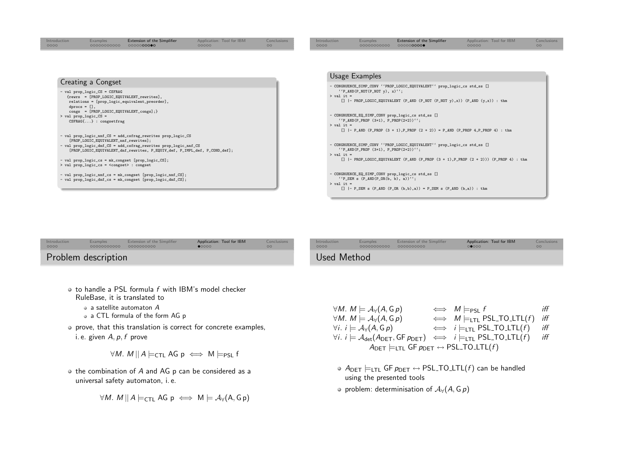<span id="page-6-0"></span>

| Introduction<br>0000                            | <b>Examples</b><br>00000000000                                                                              | Extension of the Simplifier<br>0000000000                                                                                                                                                                                                                         | Application: Tool for IBM<br>00000 | Conclusions<br>00 | Introduction<br>0000         | <b>Examples</b><br>00000000000                                             | Extension of the Simplifier<br>000000000●                                                                                                                                                                      | Application: Tool for IBM<br>00000                                                       | Conclusions<br>00 |
|-------------------------------------------------|-------------------------------------------------------------------------------------------------------------|-------------------------------------------------------------------------------------------------------------------------------------------------------------------------------------------------------------------------------------------------------------------|------------------------------------|-------------------|------------------------------|----------------------------------------------------------------------------|----------------------------------------------------------------------------------------------------------------------------------------------------------------------------------------------------------------|------------------------------------------------------------------------------------------|-------------------|
|                                                 |                                                                                                             |                                                                                                                                                                                                                                                                   |                                    |                   |                              | <b>Usage Examples</b>                                                      |                                                                                                                                                                                                                |                                                                                          |                   |
|                                                 | Creating a Congset                                                                                          |                                                                                                                                                                                                                                                                   |                                    |                   |                              |                                                                            |                                                                                                                                                                                                                |                                                                                          |                   |
| $\text{dprocs} = []$ ,<br>> val prop_logic_CS = | - val prop_logic_CS = CSFRAG<br>congs = [PROP_LOGIC_EQUIVALENT_congs];}<br>$CSFRAG\{\ldots\}$ : congsetfrag | {rewrs = [PROP_LOGIC_EQUIVALENT_rewrites],<br>relations = [prop_logic_equivalent_preorder],                                                                                                                                                                       |                                    |                   | $>$ val it =<br>$>$ val it = | $'$ P_AND(P_NOT(P_NOT y), x)'';<br>$'$ P_AND(P_PROP (3+1), P_PROP(2+2))''; | - CONGRUENCE_SIMP_CONV ''PROP_LOGIC_EQUIVALENT'' prop_logic_cs std_ss []<br>[] $ -$ PROP_LOGIC_EQUIVALENT (P_AND (P_NOT (P_NOT y),x)) (P_AND (y,x)) : thm<br>- CONGRUENCE_EQ_SIMP_CONV prop_logic_cs std_ss [] |                                                                                          |                   |
|                                                 | [PROP_LOGIC_EQUIVALENT_nnf_rewrites];<br>> val prop_logic_cs = <congset> : congset</congset>                | - val prop_logic_nnf_CS = add_csfrag_rewrites prop_logic_CS<br>- val prop_logic_dnf_CS = add_csfrag_rewrites prop_logic_nnf_CS<br>[PROP_LOGIC_EQUIVALENT_dnf_rewrites, P_EQUIV_def, P_IMPL_def, P_COND_def];<br>- val prop_logic_cs = mk_congset [prop_logic_CS]; |                                    |                   | $>$ val it =                 | $'$ P_AND(P_PROP (3+1), P_PROP(2+2))'';                                    | $[ ]$  - P_AND (P_PROP (3 + 1), P_PROP (2 + 2)) = P_AND (P_PROP 4, P_PROP 4) : thm<br>- CONGRUENCE_SIMP_CONV ''PROP_LOGIC_EQUIVALENT'' prop_logic_cs std_ss []                                                 | $[$ ]  - PROP_LOGIC_EQUIVALENT (P_AND (P_PROP (3 + 1), P_PROP (2 + 2))) (P_PROP 4) : thm |                   |
|                                                 |                                                                                                             | - val prop_logic_nnf_cs = mk_congset [prop_logic_nnf_CS];<br>- val prop_logic_dnf_cs = mk_congset [prop_logic_dnf_CS];                                                                                                                                            |                                    |                   | $>$ val it =                 | $'$ P_SEM s $(P_AND(P_OR(b, b), a))'$ ;                                    | - CONGRUENCE_EQ_SIMP_CONV prop_logic_cs std_ss []<br>$[ ]$   - P_SEM s (P_AND (P_OR (b,b),a)) = P_SEM s (P_AND (b,a)) : thm                                                                                    |                                                                                          |                   |

| Conclusions<br>Extension of the Simplifier<br>Application: Tool for IBM<br>Extension of the Simplifier<br>Application: Tool for IBM<br>Introduction<br>Examples<br>0000<br>00000000000 0000000000<br>∩∩∩∩<br>$\bullet$ 0000 |  |
|-----------------------------------------------------------------------------------------------------------------------------------------------------------------------------------------------------------------------------|--|
| Problem description<br>Used Method                                                                                                                                                                                          |  |

- to handle a PSL formula  $f$  with IBM's model checker RuleBase, it is translated to
	- <sup>a</sup> satellite automaton <sup>A</sup>
	- <sup>a</sup> CTL formula of the form AG <sup>p</sup>
- prove, that this translation is correct for concrete examples, i. e. given  $A, p, f$  prove

```
\forall M. M \parallel A \modelsCTL AG p \iff M \modelsPSL f
```
the combination of <sup>A</sup> and AG <sup>p</sup> can be considered as <sup>a</sup> universal safety automaton, i. e.

$$
\forall M. \; M \, || \, A \models_{\mathsf{CTL}} \mathsf{AG} \; p \iff M \models \mathcal{A}_{\forall}(\mathsf{A}, \mathsf{G} \, p)
$$

| $\forall M. M \models A_{\forall}(A, G_{p})$                                                                                                  | $\iff M \models_{PSL} f$               | iff |
|-----------------------------------------------------------------------------------------------------------------------------------------------|----------------------------------------|-----|
| $\forall M. M \models A_{\forall}(A, G_{p})$                                                                                                  | $\iff M \models$ LTL PSL_TO_LTL(f) iff |     |
| $\forall i. i \models A_{\forall}(A, G_{p})$                                                                                                  | $\iff i \models$ LTL PSL_TO_LTL(f)     | iff |
| $\forall i. i \models \mathcal{A}_{\text{det}}(A_{\text{DET}}, \text{GF } p_{\text{DET}}) \iff i \models_{\text{LTL}} \text{PSL\_TO\_LTL}(f)$ |                                        | iff |
| $A_{\text{DET}}$ $\models$ LTL GF $p_{\text{DET}} \leftrightarrow$ PSL_TO_LTL(f)                                                              |                                        |     |
|                                                                                                                                               |                                        |     |

- $A_{\mathsf{DET}}\models_{\mathsf{LTL}} \mathsf{GF} \rho_{\mathsf{DET}} \leftrightarrow \mathsf{PSL\_TO\_LTL}(f)$  can be handled<br>using the presented tools using the presented tools
- $\circ$  problem: determinisation of  $A_{\forall}(A, G, p)$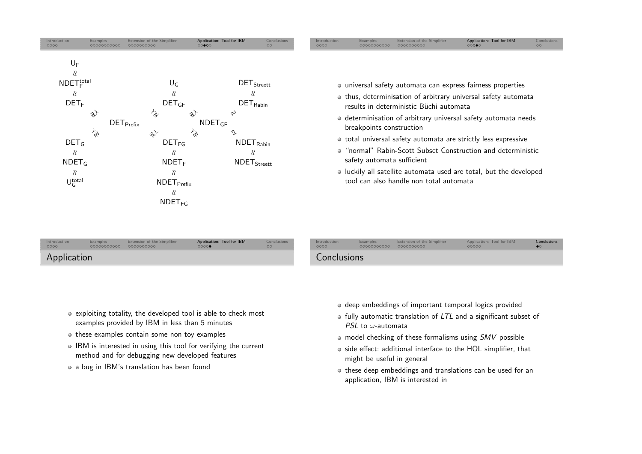<span id="page-7-0"></span>

| Introduction<br>0000 | Examples<br>00000000000 0000000000 | Extension of the Simplifier | Application: Tool for IBM<br>0000 | Conclusions<br><b>OO</b> | Introduction<br>0000 | <b>Examples</b><br>00000000000 | Extension of the Simplifier<br>0000000000 | Application: Tool for IBM<br>00000 | Conclusions |
|----------------------|------------------------------------|-----------------------------|-----------------------------------|--------------------------|----------------------|--------------------------------|-------------------------------------------|------------------------------------|-------------|
| Application          |                                    |                             |                                   |                          | Conclusions          |                                |                                           |                                    |             |

- exploiting totality, the developed tool is able to check mostexamples provided by IBM in less than <sup>5</sup> minutes
- these examples contain some non toy examples
- IBM is interested in using this tool for verifying the current method and for debugging new developed features
- a bug in IBM's translation has been found
- deep embeddings of important temporal logics provided
- fully automatic translation of LTL and <sup>a</sup> significant subset of  $PSL$  to  $\omega$ -automata
- model checking of these formalisms using  ${\it SMV}$  possible
- o side effect: additional interface to the HOL simplifier, that might be useful in genera<sup>l</sup>
- $\bullet$  these deep embeddings and translations can be used for an application, IBM is interested in